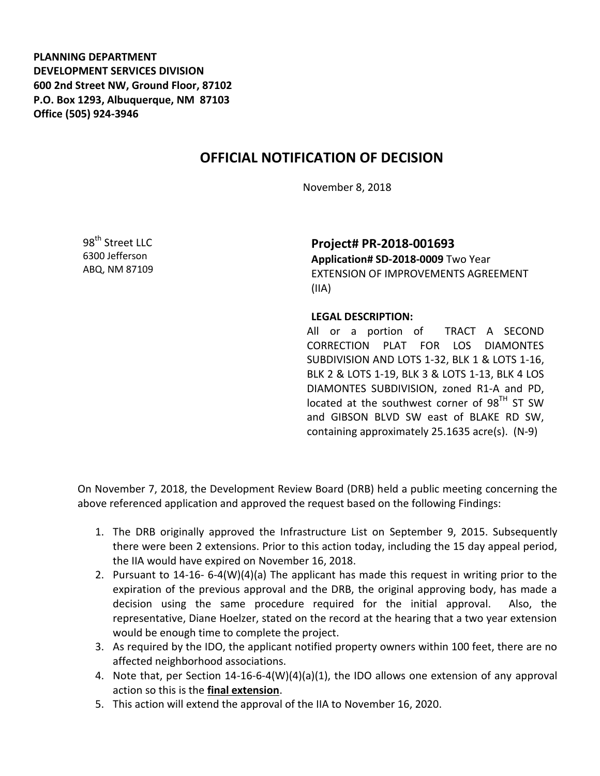**PLANNING DEPARTMENT DEVELOPMENT SERVICES DIVISION 600 2nd Street NW, Ground Floor, 87102 P.O. Box 1293, Albuquerque, NM 87103 Office (505) 924-3946** 

## **OFFICIAL NOTIFICATION OF DECISION**

November 8, 2018

98<sup>th</sup> Street LLC 6300 Jefferson ABQ, NM 87109

**Project# PR-2018-001693 Application# SD-2018-0009** Two Year EXTENSION OF IMPROVEMENTS AGREEMENT

(IIA)

## **LEGAL DESCRIPTION:**

All or a portion of TRACT A SECOND CORRECTION PLAT FOR LOS DIAMONTES SUBDIVISION AND LOTS 1-32, BLK 1 & LOTS 1-16, BLK 2 & LOTS 1-19, BLK 3 & LOTS 1-13, BLK 4 LOS DIAMONTES SUBDIVISION, zoned R1-A and PD, located at the southwest corner of  $98<sup>TH</sup>$  ST SW and GIBSON BLVD SW east of BLAKE RD SW, containing approximately 25.1635 acre(s). (N-9)

On November 7, 2018, the Development Review Board (DRB) held a public meeting concerning the above referenced application and approved the request based on the following Findings:

- 1. The DRB originally approved the Infrastructure List on September 9, 2015. Subsequently there were been 2 extensions. Prior to this action today, including the 15 day appeal period, the IIA would have expired on November 16, 2018.
- 2. Pursuant to 14-16- 6-4(W)(4)(a) The applicant has made this request in writing prior to the expiration of the previous approval and the DRB, the original approving body, has made a decision using the same procedure required for the initial approval. Also, the representative, Diane Hoelzer, stated on the record at the hearing that a two year extension would be enough time to complete the project.
- 3. As required by the IDO, the applicant notified property owners within 100 feet, there are no affected neighborhood associations.
- 4. Note that, per Section 14-16-6-4(W)(4)(a)(1), the IDO allows one extension of any approval action so this is the **final extension**.
- 5. This action will extend the approval of the IIA to November 16, 2020.